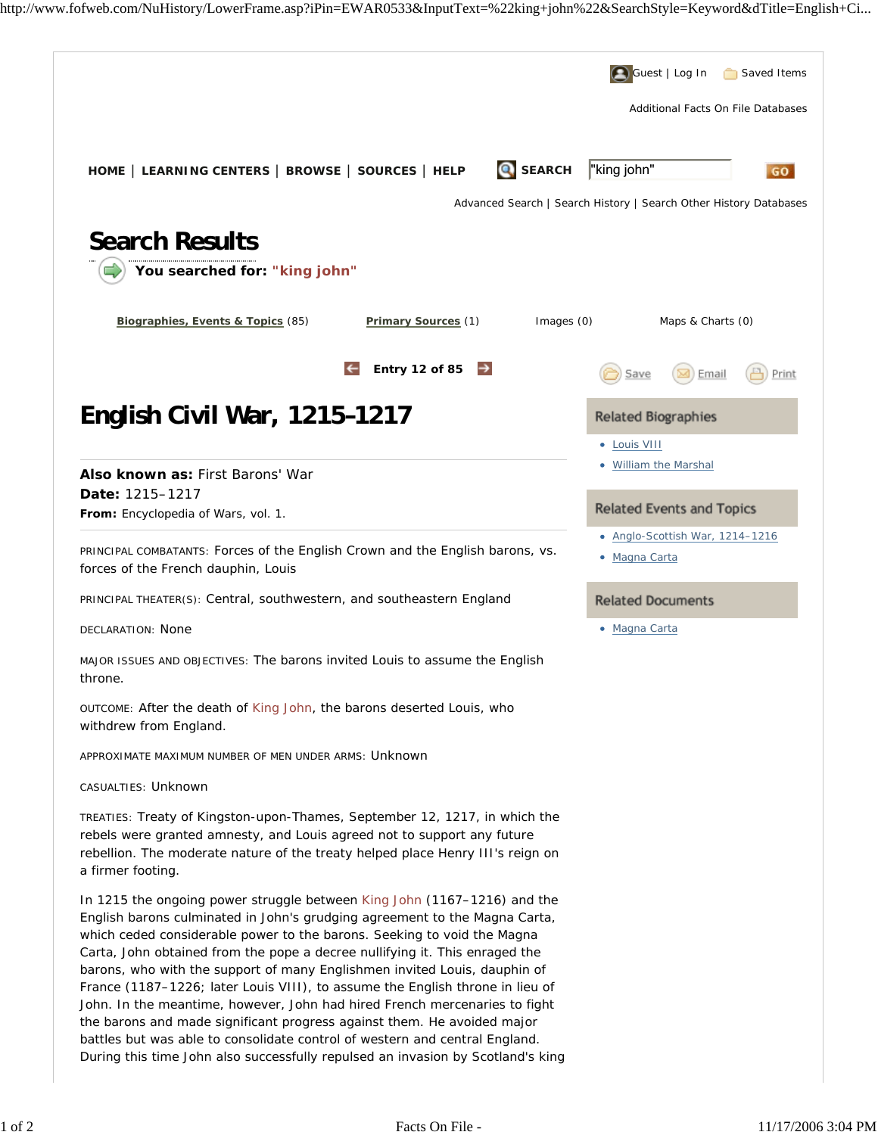